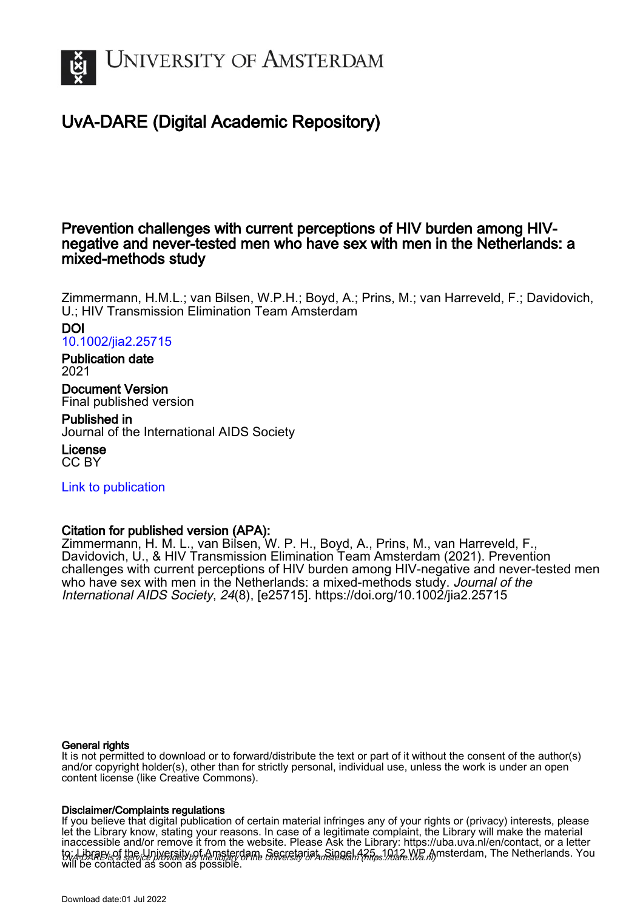

# UvA-DARE (Digital Academic Repository)

# Prevention challenges with current perceptions of HIV burden among HIVnegative and never-tested men who have sex with men in the Netherlands: a mixed-methods study

Zimmermann, H.M.L.; van Bilsen, W.P.H.; Boyd, A.; Prins, M.; van Harreveld, F.; Davidovich, U.; HIV Transmission Elimination Team Amsterdam

### DOI

[10.1002/jia2.25715](https://doi.org/10.1002/jia2.25715)

# Publication date

2021

Document Version Final published version

Published in Journal of the International AIDS Society

License CC BY

[Link to publication](https://dare.uva.nl/personal/pure/en/publications/prevention-challenges-with-current-perceptions-of-hiv-burden-among-hivnegative-and-nevertested-men-who-have-sex-with-men-in-the-netherlands-a-mixedmethods-study(1edaa2c2-f0c8-4bc3-a0d1-019bad82f4e6).html)

# Citation for published version (APA):

Zimmermann, H. M. L., van Bilsen, W. P. H., Boyd, A., Prins, M., van Harreveld, F., Davidovich, U., & HIV Transmission Elimination Team Amsterdam (2021). Prevention challenges with current perceptions of HIV burden among HIV-negative and never-tested men who have sex with men in the Netherlands: a mixed-methods study. Journal of the International AIDS Society, 24(8), [e25715]. <https://doi.org/10.1002/jia2.25715>

### General rights

It is not permitted to download or to forward/distribute the text or part of it without the consent of the author(s) and/or copyright holder(s), other than for strictly personal, individual use, unless the work is under an open content license (like Creative Commons).

### Disclaimer/Complaints regulations

UvA-DARE is a service provided by the library of the University of Amsterdam (http*s*://dare.uva.nl) If you believe that digital publication of certain material infringes any of your rights or (privacy) interests, please let the Library know, stating your reasons. In case of a legitimate complaint, the Library will make the material inaccessible and/or remove it from the website. Please Ask the Library: https://uba.uva.nl/en/contact, or a letter to: Library of the Linixersity of Amsterdam, Secretariat, Singel 425, 1012 WB Amsterdam, The Netherlands. You will be contacted as soon as possible.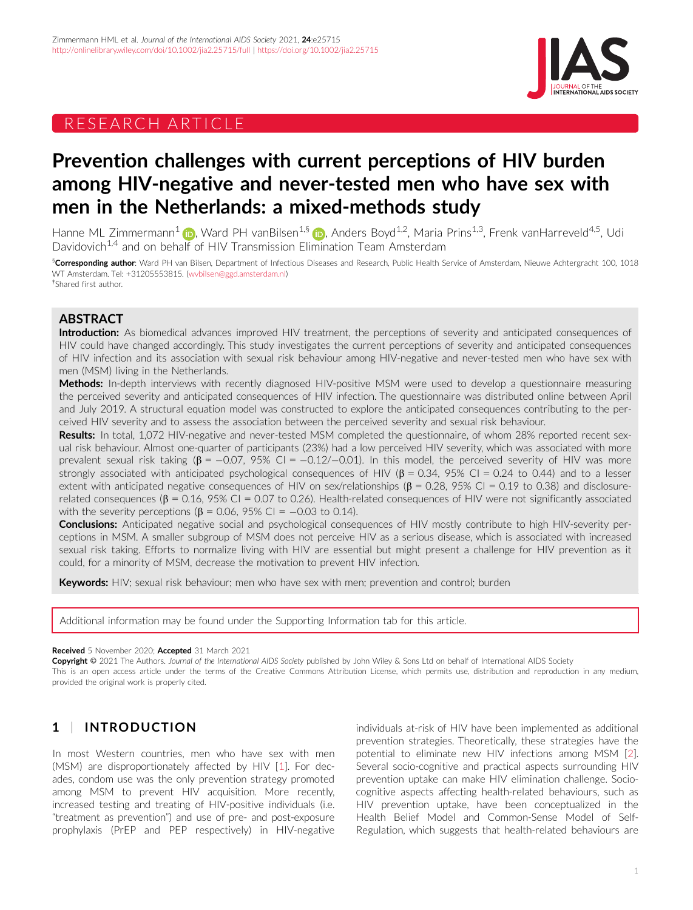# RESEARCH ARTICLE



# Prevention challenges with current perceptions of HIV burden among HIV-negative and never-tested men who have sex with men in the Netherlands: a mixed-methods study

Hanne ML Zimmermann<sup>[1](https://orcid.org/0000-0002-1647-8485)</sup> (D), Ward PH vanBilsen<sup>1,[§](https://orcid.org/0000-0002-8238-0638)</sup> (D), Anders Boyd<sup>1,2</sup>, Maria Prins<sup>1,3</sup>, Frenk vanHarreveld<sup>4,5</sup>, Udi Davidovich<sup>1,4</sup> and on behalf of HIV Transmission Elimination Team Amsterdam

§**Corresponding author**: Ward PH van Bilsen, Department of Infectious Diseases and Research, Public Health Service of Amsterdam, Nieuwe Achtergracht 100, 1018 WT Amsterdam. Tel: +31205553815. [\(wvbilsen@ggd.amsterdam.nl\)](mailto:wvbilsen@ggd.amsterdam.nl) † Shared first author.

### ABSTRACT

Introduction: As biomedical advances improved HIV treatment, the perceptions of severity and anticipated consequences of HIV could have changed accordingly. This study investigates the current perceptions of severity and anticipated consequences of HIV infection and its association with sexual risk behaviour among HIV-negative and never-tested men who have sex with men (MSM) living in the Netherlands.

Methods: In-depth interviews with recently diagnosed HIV-positive MSM were used to develop a questionnaire measuring the perceived severity and anticipated consequences of HIV infection. The questionnaire was distributed online between April and July 2019. A structural equation model was constructed to explore the anticipated consequences contributing to the perceived HIV severity and to assess the association between the perceived severity and sexual risk behaviour.

Results: In total, 1,072 HIV-negative and never-tested MSM completed the questionnaire, of whom 28% reported recent sexual risk behaviour. Almost one-quarter of participants (23%) had a low perceived HIV severity, which was associated with more prevalent sexual risk taking ( $\beta$  = -0.07, 95% CI = -0.12/-0.01). In this model, the perceived severity of HIV was more strongly associated with anticipated psychological consequences of HIV ( $\beta$  = 0.34, 95% CI = 0.24 to 0.44) and to a lesser extent with anticipated negative consequences of HIV on sex/relationships ( $\beta = 0.28$ , 95% CI = 0.19 to 0.38) and disclosurerelated consequences ( $\beta$  = 0.16, 95% CI = 0.07 to 0.26). Health-related consequences of HIV were not significantly associated with the severity perceptions ( $\beta$  = 0.06, 95% CI = -0.03 to 0.14).

**Conclusions:** Anticipated negative social and psychological consequences of HIV mostly contribute to high HIV-severity perceptions in MSM. A smaller subgroup of MSM does not perceive HIV as a serious disease, which is associated with increased sexual risk taking. Efforts to normalize living with HIV are essential but might present a challenge for HIV prevention as it could, for a minority of MSM, decrease the motivation to prevent HIV infection.

Keywords: HIV; sexual risk behaviour; men who have sex with men; prevention and control; burden

Additional information may be found under the Supporting Information tab for this article.

#### Received 5 November 2020; Accepted 31 March 2021

Copyright © 2021 The Authors. Journal of the International AIDS Society published by John Wiley & Sons Ltd on behalf of International AIDS Society This is an open access article under the terms of the [Creative Commons Attribution](http://creativecommons.org/licenses/by/4.0/) License, which permits use, distribution and reproduction in any medium, provided the original work is properly cited.

# 1 | INTRODUCTION

In most Western countries, men who have sex with men (MSM) are disproportionately affected by HIV [\[1\]](#page-7-0). For decades, condom use was the only prevention strategy promoted among MSM to prevent HIV acquisition. More recently, increased testing and treating of HIV-positive individuals (i.e. "treatment as prevention") and use of pre- and post-exposure prophylaxis (PrEP and PEP respectively) in HIV-negative

individuals at-risk of HIV have been implemented as additional prevention strategies. Theoretically, these strategies have the potential to eliminate new HIV infections among MSM [\[2](#page-8-0)]. Several socio-cognitive and practical aspects surrounding HIV prevention uptake can make HIV elimination challenge. Sociocognitive aspects affecting health-related behaviours, such as HIV prevention uptake, have been conceptualized in the Health Belief Model and Common-Sense Model of Self-Regulation, which suggests that health-related behaviours are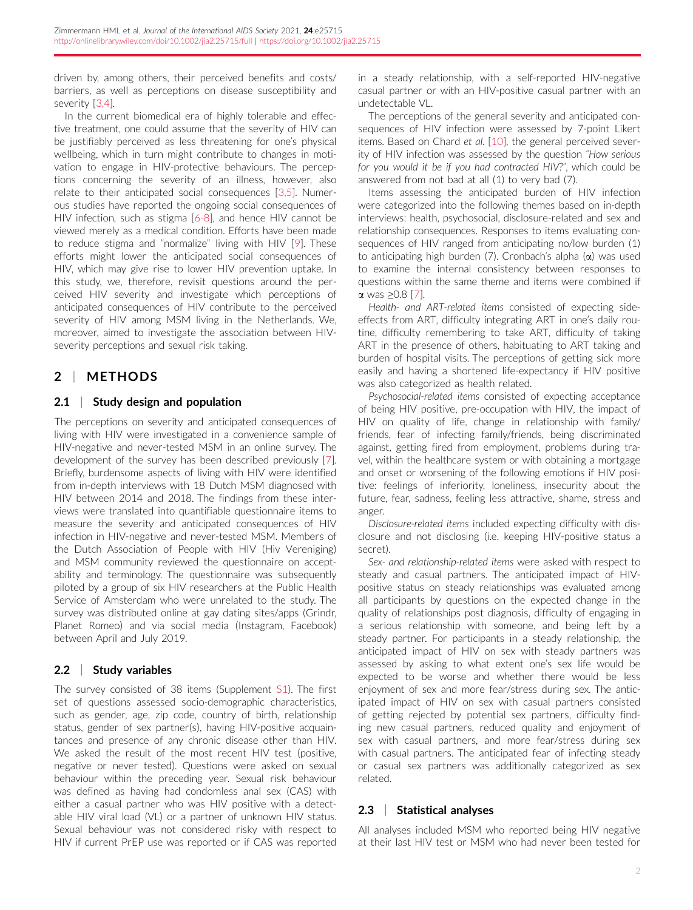driven by, among others, their perceived benefits and costs/ barriers, as well as perceptions on disease susceptibility and severity [\[3,4](#page-8-0)].

In the current biomedical era of highly tolerable and effective treatment, one could assume that the severity of HIV can be justifiably perceived as less threatening for one's physical wellbeing, which in turn might contribute to changes in motivation to engage in HIV-protective behaviours. The perceptions concerning the severity of an illness, however, also relate to their anticipated social consequences [\[3,5](#page-8-0)]. Numerous studies have reported the ongoing social consequences of HIV infection, such as stigma [\[6-8](#page-8-0)], and hence HIV cannot be viewed merely as a medical condition. Efforts have been made to reduce stigma and "normalize" living with HIV [[9](#page-8-0)]. These efforts might lower the anticipated social consequences of HIV, which may give rise to lower HIV prevention uptake. In this study, we, therefore, revisit questions around the perceived HIV severity and investigate which perceptions of anticipated consequences of HIV contribute to the perceived severity of HIV among MSM living in the Netherlands. We, moreover, aimed to investigate the association between HIVseverity perceptions and sexual risk taking.

## 2 | METHODS

### 2.1 Study design and population

The perceptions on severity and anticipated consequences of living with HIV were investigated in a convenience sample of HIV-negative and never-tested MSM in an online survey. The development of the survey has been described previously [[7\]](#page-8-0). Briefly, burdensome aspects of living with HIV were identified from in-depth interviews with 18 Dutch MSM diagnosed with HIV between 2014 and 2018. The findings from these interviews were translated into quantifiable questionnaire items to measure the severity and anticipated consequences of HIV infection in HIV-negative and never-tested MSM. Members of the Dutch Association of People with HIV (Hiv Vereniging) and MSM community reviewed the questionnaire on acceptability and terminology. The questionnaire was subsequently piloted by a group of six HIV researchers at the Public Health Service of Amsterdam who were unrelated to the study. The survey was distributed online at gay dating sites/apps (Grindr, Planet Romeo) and via social media (Instagram, Facebook) between April and July 2019.

### 2.2 | Study variables

The survey consisted of 38 items (Supplement S1). The first set of questions assessed socio-demographic characteristics, such as gender, age, zip code, country of birth, relationship status, gender of sex partner(s), having HIV-positive acquaintances and presence of any chronic disease other than HIV. We asked the result of the most recent HIV test (positive, negative or never tested). Questions were asked on sexual behaviour within the preceding year. Sexual risk behaviour was defined as having had condomless anal sex (CAS) with either a casual partner who was HIV positive with a detectable HIV viral load (VL) or a partner of unknown HIV status. Sexual behaviour was not considered risky with respect to HIV if current PrEP use was reported or if CAS was reported

in a steady relationship, with a self-reported HIV-negative casual partner or with an HIV-positive casual partner with an undetectable VL.

The perceptions of the general severity and anticipated consequences of HIV infection were assessed by 7-point Likert items. Based on Chard et al. [\[10\]](#page-8-0), the general perceived severity of HIV infection was assessed by the question "How serious for you would it be if you had contracted HIV?", which could be answered from not bad at all (1) to very bad (7).

Items assessing the anticipated burden of HIV infection were categorized into the following themes based on in-depth interviews: health, psychosocial, disclosure-related and sex and relationship consequences. Responses to items evaluating consequences of HIV ranged from anticipating no/low burden (1) to anticipating high burden  $(7)$ . Cronbach's alpha  $(\alpha)$  was used to examine the internal consistency between responses to questions within the same theme and items were combined if a was ≥0.8 [[7\]](#page-8-0).

Health- and ART-related items consisted of expecting sideeffects from ART, difficulty integrating ART in one's daily routine, difficulty remembering to take ART, difficulty of taking ART in the presence of others, habituating to ART taking and burden of hospital visits. The perceptions of getting sick more easily and having a shortened life-expectancy if HIV positive was also categorized as health related.

Psychosocial-related items consisted of expecting acceptance of being HIV positive, pre-occupation with HIV, the impact of HIV on quality of life, change in relationship with family/ friends, fear of infecting family/friends, being discriminated against, getting fired from employment, problems during travel, within the healthcare system or with obtaining a mortgage and onset or worsening of the following emotions if HIV positive: feelings of inferiority, loneliness, insecurity about the future, fear, sadness, feeling less attractive, shame, stress and anger.

Disclosure-related items included expecting difficulty with disclosure and not disclosing (i.e. keeping HIV-positive status a secret).

Sex- and relationship-related items were asked with respect to steady and casual partners. The anticipated impact of HIVpositive status on steady relationships was evaluated among all participants by questions on the expected change in the quality of relationships post diagnosis, difficulty of engaging in a serious relationship with someone, and being left by a steady partner. For participants in a steady relationship, the anticipated impact of HIV on sex with steady partners was assessed by asking to what extent one's sex life would be expected to be worse and whether there would be less enjoyment of sex and more fear/stress during sex. The anticipated impact of HIV on sex with casual partners consisted of getting rejected by potential sex partners, difficulty finding new casual partners, reduced quality and enjoyment of sex with casual partners, and more fear/stress during sex with casual partners. The anticipated fear of infecting steady or casual sex partners was additionally categorized as sex related.

### 2.3 | Statistical analyses

All analyses included MSM who reported being HIV negative at their last HIV test or MSM who had never been tested for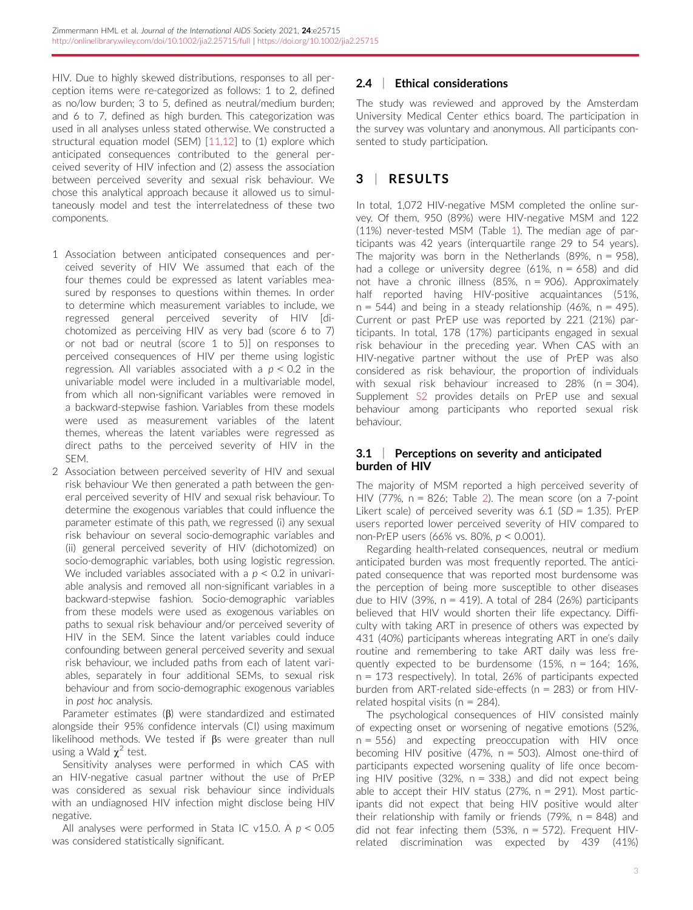HIV. Due to highly skewed distributions, responses to all perception items were re-categorized as follows: 1 to 2, defined as no/low burden; 3 to 5, defined as neutral/medium burden; and 6 to 7, defined as high burden. This categorization was used in all analyses unless stated otherwise. We constructed a structural equation model (SEM) [\[11,12](#page-8-0)] to (1) explore which anticipated consequences contributed to the general perceived severity of HIV infection and (2) assess the association between perceived severity and sexual risk behaviour. We chose this analytical approach because it allowed us to simultaneously model and test the interrelatedness of these two components.

- 1 Association between anticipated consequences and perceived severity of HIV We assumed that each of the four themes could be expressed as latent variables measured by responses to questions within themes. In order to determine which measurement variables to include, we regressed general perceived severity of HIV [dichotomized as perceiving HIV as very bad (score 6 to 7) or not bad or neutral (score 1 to 5)] on responses to perceived consequences of HIV per theme using logistic regression. All variables associated with a  $p < 0.2$  in the univariable model were included in a multivariable model, from which all non-significant variables were removed in a backward-stepwise fashion. Variables from these models were used as measurement variables of the latent themes, whereas the latent variables were regressed as direct paths to the perceived severity of HIV in the SEM.
- 2 Association between perceived severity of HIV and sexual risk behaviour We then generated a path between the general perceived severity of HIV and sexual risk behaviour. To determine the exogenous variables that could influence the parameter estimate of this path, we regressed (i) any sexual risk behaviour on several socio-demographic variables and (ii) general perceived severity of HIV (dichotomized) on socio-demographic variables, both using logistic regression. We included variables associated with a  $p < 0.2$  in univariable analysis and removed all non-significant variables in a backward-stepwise fashion. Socio-demographic variables from these models were used as exogenous variables on paths to sexual risk behaviour and/or perceived severity of HIV in the SEM. Since the latent variables could induce confounding between general perceived severity and sexual risk behaviour, we included paths from each of latent variables, separately in four additional SEMs, to sexual risk behaviour and from socio-demographic exogenous variables in post hoc analysis.

Parameter estimates  $(\beta)$  were standardized and estimated alongside their 95% confidence intervals (CI) using maximum likelihood methods. We tested if  $\beta s$  were greater than null using a Wald  $\chi^2$  test.

Sensitivity analyses were performed in which CAS with an HIV-negative casual partner without the use of PrEP was considered as sexual risk behaviour since individuals with an undiagnosed HIV infection might disclose being HIV negative.

All analyses were performed in Stata IC v15.0. A  $p < 0.05$ was considered statistically significant.

### 2.4 | Ethical considerations

The study was reviewed and approved by the Amsterdam University Medical Center ethics board. The participation in the survey was voluntary and anonymous. All participants consented to study participation.

# 3 | RESULTS

In total, 1,072 HIV-negative MSM completed the online survey. Of them, 950 (89%) were HIV-negative MSM and 122 (11%) never-tested MSM (Table [1\)](#page-4-0). The median age of participants was 42 years (interquartile range 29 to 54 years). The majority was born in the Netherlands (89%,  $n = 958$ ), had a college or university degree (61%,  $n = 658$ ) and did not have a chronic illness (85%, n = 906). Approximately half reported having HIV-positive acquaintances (51%,  $n = 544$ ) and being in a steady relationship (46%,  $n = 495$ ). Current or past PrEP use was reported by 221 (21%) participants. In total, 178 (17%) participants engaged in sexual risk behaviour in the preceding year. When CAS with an HIV-negative partner without the use of PrEP was also considered as risk behaviour, the proportion of individuals with sexual risk behaviour increased to 28% (n = 304). Supplement S2 provides details on PrEP use and sexual behaviour among participants who reported sexual risk behaviour.

### 3.1 Perceptions on severity and anticipated burden of HIV

The majority of MSM reported a high perceived severity of HIV (77%, n = 826; Table [2\)](#page-5-0). The mean score (on a 7-point Likert scale) of perceived severity was  $6.1$  (SD = 1.35). PrEP users reported lower perceived severity of HIV compared to non-PrEP users (66% vs. 80%, p < 0.001).

Regarding health-related consequences, neutral or medium anticipated burden was most frequently reported. The anticipated consequence that was reported most burdensome was the perception of being more susceptible to other diseases due to HIV (39%,  $n = 419$ ). A total of 284 (26%) participants believed that HIV would shorten their life expectancy. Difficulty with taking ART in presence of others was expected by 431 (40%) participants whereas integrating ART in one's daily routine and remembering to take ART daily was less frequently expected to be burdensome  $(15\% \, n = 164; 16\% \, n = 164)$ n = 173 respectively). In total, 26% of participants expected burden from ART-related side-effects (n = 283) or from HIVrelated hospital visits ( $n = 284$ ).

The psychological consequences of HIV consisted mainly of expecting onset or worsening of negative emotions (52%, n = 556) and expecting preoccupation with HIV once becoming HIV positive (47%, n = 503). Almost one-third of participants expected worsening quality of life once becoming HIV positive  $(32\% , n = 338)$  and did not expect being able to accept their HIV status (27%,  $n = 291$ ). Most participants did not expect that being HIV positive would alter their relationship with family or friends (79%,  $n = 848$ ) and did not fear infecting them (53%, n = 572). Frequent HIVrelated discrimination was expected by 439 (41%)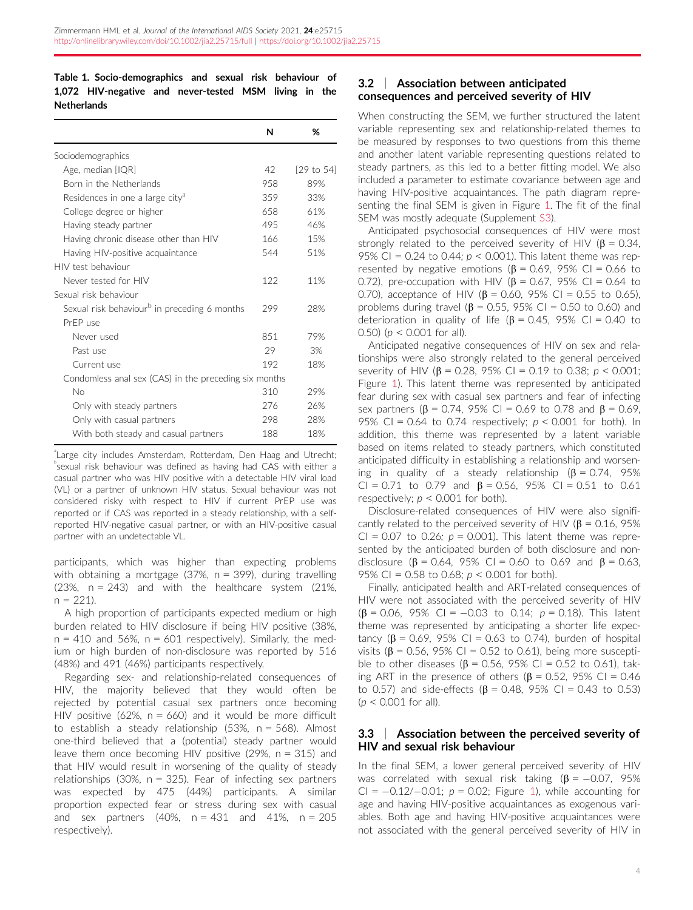### <span id="page-4-0"></span>Table 1. Socio-demographics and sexual risk behaviour of 1,072 HIV-negative and never-tested MSM living in the **Netherlands**

|                                                          | N   | %          |
|----------------------------------------------------------|-----|------------|
| Sociodemographics                                        |     |            |
| Age, median [IQR]                                        | 42  | [29 to 54] |
| Born in the Netherlands                                  | 958 | 89%        |
| Residences in one a large city <sup>a</sup>              | 359 | 33%        |
| College degree or higher                                 | 658 | 61%        |
| Having steady partner                                    | 495 | 46%        |
| Having chronic disease other than HIV                    | 166 | 15%        |
| Having HIV-positive acquaintance                         | 544 | 51%        |
| HIV test behaviour                                       |     |            |
| Never tested for HIV                                     | 122 | 11%        |
| Sexual risk behaviour                                    |     |            |
| Sexual risk behaviour <sup>b</sup> in preceding 6 months | 299 | 28%        |
| PrFP use                                                 |     |            |
| Never used                                               | 851 | 79%        |
| Past use                                                 | 29  | 3%         |
| Current use                                              | 192 | 18%        |
| Condomless anal sex (CAS) in the preceding six months    |     |            |
| No                                                       | 310 | 29%        |
| Only with steady partners                                | 276 | 26%        |
| Only with casual partners                                | 298 | 28%        |
| With both steady and casual partners                     | 188 | 18%        |

a Large city includes Amsterdam, Rotterdam, Den Haag and Utrecht; b sexual risk behaviour was defined as having had CAS with either a casual partner who was HIV positive with a detectable HIV viral load (VL) or a partner of unknown HIV status. Sexual behaviour was not considered risky with respect to HIV if current PrEP use was reported or if CAS was reported in a steady relationship, with a selfreported HIV-negative casual partner, or with an HIV-positive casual partner with an undetectable VL.

participants, which was higher than expecting problems with obtaining a mortgage (37%,  $n = 399$ ), during travelling  $(23\%$ , n = 243) and with the healthcare system  $(21\%$ ,  $n = 221$ ).

A high proportion of participants expected medium or high burden related to HIV disclosure if being HIV positive (38%,  $n = 410$  and 56%,  $n = 601$  respectively). Similarly, the medium or high burden of non-disclosure was reported by 516 (48%) and 491 (46%) participants respectively.

Regarding sex- and relationship-related consequences of HIV, the majority believed that they would often be rejected by potential casual sex partners once becoming HIV positive (62%,  $n = 660$ ) and it would be more difficult to establish a steady relationship (53%, n = 568). Almost one-third believed that a (potential) steady partner would leave them once becoming HIV positive (29%,  $n = 315$ ) and that HIV would result in worsening of the quality of steady relationships (30%,  $n = 325$ ). Fear of infecting sex partners was expected by 475 (44%) participants. A similar proportion expected fear or stress during sex with casual and sex partners  $(40\% , n = 431$  and  $41\% , n = 205$ respectively).

### 3.2 | Association between anticipated consequences and perceived severity of HIV

When constructing the SEM, we further structured the latent variable representing sex and relationship-related themes to be measured by responses to two questions from this theme and another latent variable representing questions related to steady partners, as this led to a better fitting model. We also included a parameter to estimate covariance between age and having HIV-positive acquaintances. The path diagram representing the final SEM is given in Figure [1.](#page-6-0) The fit of the final SEM was mostly adequate (Supplement S3).

Anticipated psychosocial consequences of HIV were most strongly related to the perceived severity of HIV ( $\beta$  = 0.34, 95% CI = 0.24 to 0.44;  $p < 0.001$ ). This latent theme was represented by negative emotions ( $\beta$  = 0.69, 95% CI = 0.66 to 0.72), pre-occupation with HIV ( $\beta$  = 0.67, 95% CI = 0.64 to 0.70), acceptance of HIV ( $\beta$  = 0.60, 95% CI = 0.55 to 0.65). problems during travel ( $\beta$  = 0.55, 95% CI = 0.50 to 0.60) and deterioration in quality of life ( $\beta$  = 0.45, 95% CI = 0.40 to 0.50) ( $p < 0.001$  for all).

Anticipated negative consequences of HIV on sex and relationships were also strongly related to the general perceived severity of HIV ( $\beta$  = 0.28, 95% CI = 0.19 to 0.38;  $p < 0.001$ ; Figure [1\)](#page-6-0). This latent theme was represented by anticipated fear during sex with casual sex partners and fear of infecting sex partners ( $\beta$  = 0.74, 95% CI = 0.69 to 0.78 and  $\beta$  = 0.69, 95% CI = 0.64 to 0.74 respectively;  $p < 0.001$  for both). In addition, this theme was represented by a latent variable based on items related to steady partners, which constituted anticipated difficulty in establishing a relationship and worsening in quality of a steady relationship  $(\beta = 0.74, 95\%)$ CI = 0.71 to 0.79 and  $\beta$  = 0.56, 95% CI = 0.51 to 0.61 respectively;  $p < 0.001$  for both).

Disclosure-related consequences of HIV were also significantly related to the perceived severity of HIV ( $\beta$  = 0.16, 95% CI = 0.07 to 0.26;  $p = 0.001$ ). This latent theme was represented by the anticipated burden of both disclosure and nondisclosure ( $\beta$  = 0.64, 95% CI = 0.60 to 0.69 and  $\beta$  = 0.63, 95% CI = 0.58 to 0.68;  $p < 0.001$  for both).

Finally, anticipated health and ART-related consequences of HIV were not associated with the perceived severity of HIV  $(\beta = 0.06, 95\% \text{ Cl} = -0.03 \text{ to } 0.14; p = 0.18)$ . This latent theme was represented by anticipating a shorter life expectancy ( $\beta$  = 0.69, 95% CI = 0.63 to 0.74), burden of hospital visits ( $\beta$  = 0.56, 95% CI = 0.52 to 0.61), being more susceptible to other diseases ( $\beta$  = 0.56, 95% CI = 0.52 to 0.61), taking ART in the presence of others ( $\beta$  = 0.52, 95% CI = 0.46 to 0.57) and side-effects ( $\beta$  = 0.48, 95% CI = 0.43 to 0.53)  $(p < 0.001$  for all).

### 3.3 | Association between the perceived severity of HIV and sexual risk behaviour

In the final SEM, a lower general perceived severity of HIV was correlated with sexual risk taking  $(\beta = -0.07, 95\%)$ CI =  $-0.12/-0.01$  $-0.12/-0.01$  $-0.12/-0.01$ ;  $p = 0.02$ ; Figure 1), while accounting for age and having HIV-positive acquaintances as exogenous variables. Both age and having HIV-positive acquaintances were not associated with the general perceived severity of HIV in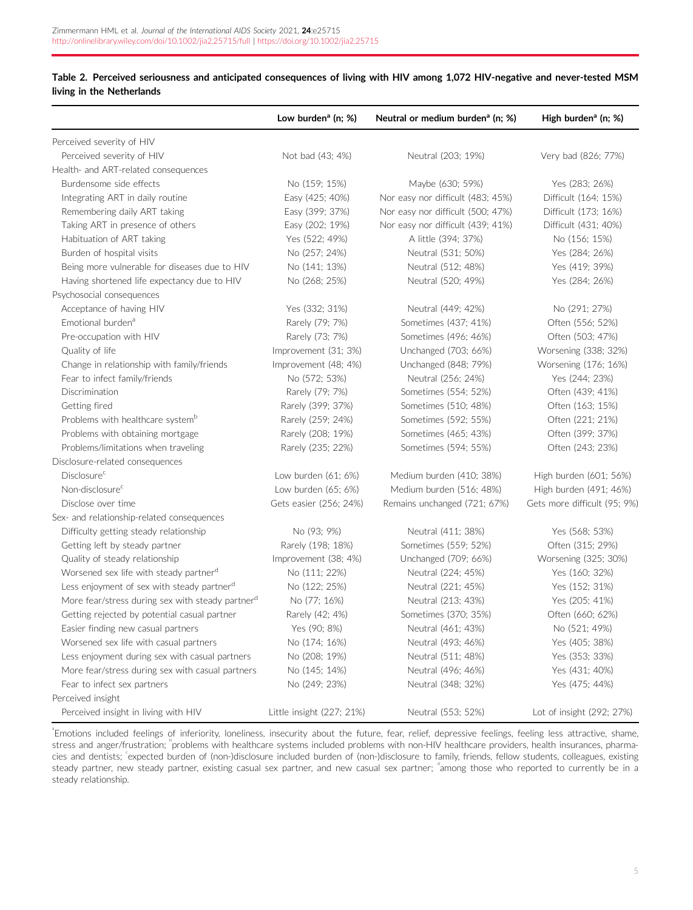### <span id="page-5-0"></span>Table 2. Perceived seriousness and anticipated consequences of living with HIV among 1,072 HIV-negative and never-tested MSM living in the Netherlands

|                                                              | Low burden <sup>a</sup> (n; $%$ ) | Neutral or medium burden <sup>a</sup> (n; %) | High burden <sup>a</sup> (n; %) |
|--------------------------------------------------------------|-----------------------------------|----------------------------------------------|---------------------------------|
| Perceived severity of HIV                                    |                                   |                                              |                                 |
| Perceived severity of HIV                                    | Not bad (43; 4%)                  | Neutral (203; 19%)                           | Very bad (826; 77%)             |
| Health- and ART-related consequences                         |                                   |                                              |                                 |
| Burdensome side effects                                      | No (159; 15%)                     | Maybe (630; 59%)                             | Yes (283; 26%)                  |
| Integrating ART in daily routine                             | Easy (425; 40%)                   | Nor easy nor difficult (483; 45%)            | Difficult (164; 15%)            |
| Remembering daily ART taking                                 | Easy (399; 37%)                   | Nor easy nor difficult (500; 47%)            | Difficult (173; 16%)            |
| Taking ART in presence of others                             | Easy (202; 19%)                   | Nor easy nor difficult (439; 41%)            | Difficult (431; 40%)            |
| Habituation of ART taking                                    | Yes (522; 49%)                    | A little (394; 37%)                          | No (156; 15%)                   |
| Burden of hospital visits                                    | No (257; 24%)                     | Neutral (531; 50%)                           | Yes (284; 26%)                  |
| Being more vulnerable for diseases due to HIV                | No (141; 13%)                     | Neutral (512; 48%)                           | Yes (419; 39%)                  |
| Having shortened life expectancy due to HIV                  | No (268; 25%)                     | Neutral (520; 49%)                           | Yes (284; 26%)                  |
| Psychosocial consequences                                    |                                   |                                              |                                 |
| Acceptance of having HIV                                     | Yes (332; 31%)                    | Neutral (449; 42%)                           | No (291; 27%)                   |
| Emotional burden <sup>a</sup>                                | Rarely (79; 7%)                   | Sometimes (437; 41%)                         | Often (556; 52%)                |
| Pre-occupation with HIV                                      | Rarely (73; 7%)                   | Sometimes (496; 46%)                         | Often (503; 47%)                |
| Quality of life                                              | Improvement (31; 3%)              | Unchanged (703; 66%)                         | Worsening (338; 32%)            |
| Change in relationship with family/friends                   | Improvement (48; 4%)              | Unchanged (848; 79%)                         | Worsening (176; 16%)            |
| Fear to infect family/friends                                | No (572; 53%)                     | Neutral (256; 24%)                           | Yes (244; 23%)                  |
| Discrimination                                               | Rarely (79; 7%)                   | Sometimes (554; 52%)                         | Often (439; 41%)                |
| Getting fired                                                | Rarely (399; 37%)                 | Sometimes (510; 48%)                         | Often (163; 15%)                |
| Problems with healthcare system <sup>b</sup>                 | Rarely (259; 24%)                 | Sometimes (592; 55%)                         | Often (221; 21%)                |
| Problems with obtaining mortgage                             | Rarely (208; 19%)                 | Sometimes (465; 43%)                         | Often (399; 37%)                |
| Problems/limitations when traveling                          | Rarely (235; 22%)                 | Sometimes (594; 55%)                         | Often (243; 23%)                |
| Disclosure-related consequences                              |                                   |                                              |                                 |
| <b>Disclosure</b> <sup>c</sup>                               | Low burden (61; 6%)               | Medium burden (410; 38%)                     | High burden (601; 56%)          |
| Non-disclosure <sup>c</sup>                                  | Low burden (65; 6%)               | Medium burden (516; 48%)                     | High burden (491; 46%)          |
| Disclose over time                                           | Gets easier (256; 24%)            | Remains unchanged (721; 67%)                 | Gets more difficult (95; 9%)    |
| Sex- and relationship-related consequences                   |                                   |                                              |                                 |
| Difficulty getting steady relationship                       | No (93; 9%)                       | Neutral (411; 38%)                           | Yes (568; 53%)                  |
| Getting left by steady partner                               | Rarely (198; 18%)                 | Sometimes (559; 52%)                         | Often (315; 29%)                |
| Quality of steady relationship                               | Improvement (38; 4%)              | Unchanged (709; 66%)                         | Worsening (325; 30%)            |
| Worsened sex life with steady partner <sup>d</sup>           | No (111; 22%)                     | Neutral (224; 45%)                           | Yes (160; 32%)                  |
| Less enjoyment of sex with steady partner <sup>d</sup>       | No (122; 25%)                     | Neutral (221; 45%)                           | Yes (152; 31%)                  |
| More fear/stress during sex with steady partner <sup>d</sup> | No (77; 16%)                      | Neutral (213; 43%)                           | Yes (205; 41%)                  |
| Getting rejected by potential casual partner                 | Rarely (42; 4%)                   | Sometimes (370; 35%)                         | Often (660; 62%)                |
| Easier finding new casual partners                           | Yes (90; 8%)                      | Neutral (461; 43%)                           | No (521; 49%)                   |
| Worsened sex life with casual partners                       | No (174; 16%)                     | Neutral (493; 46%)                           | Yes (405; 38%)                  |
| Less enjoyment during sex with casual partners               | No (208; 19%)                     | Neutral (511; 48%)                           | Yes (353; 33%)                  |
| More fear/stress during sex with casual partners             | No (145; 14%)                     | Neutral (496; 46%)                           | Yes (431; 40%)                  |
| Fear to infect sex partners                                  | No (249; 23%)                     | Neutral (348; 32%)                           | Yes (475; 44%)                  |
| Perceived insight                                            |                                   |                                              |                                 |
| Perceived insight in living with HIV                         | Little insight (227; 21%)         | Neutral (553; 52%)                           | Lot of insight (292; 27%)       |

a Emotions included feelings of inferiority, loneliness, insecurity about the future, fear, relief, depressive feelings, feeling less attractive, shame, stress and anger/frustration; "problems with healthcare systems included problems with non-HIV healthcare providers, health insurances, pharmacies and dentists; expected burden of (non-)disclosure included burden of (non-)disclosure to family, friends, fellow students, colleagues, existing steady partner, new steady partner, existing casual sex partner, and new casual sex partner; <sup>a</sup>among those who reported to currently be in a steady relationship.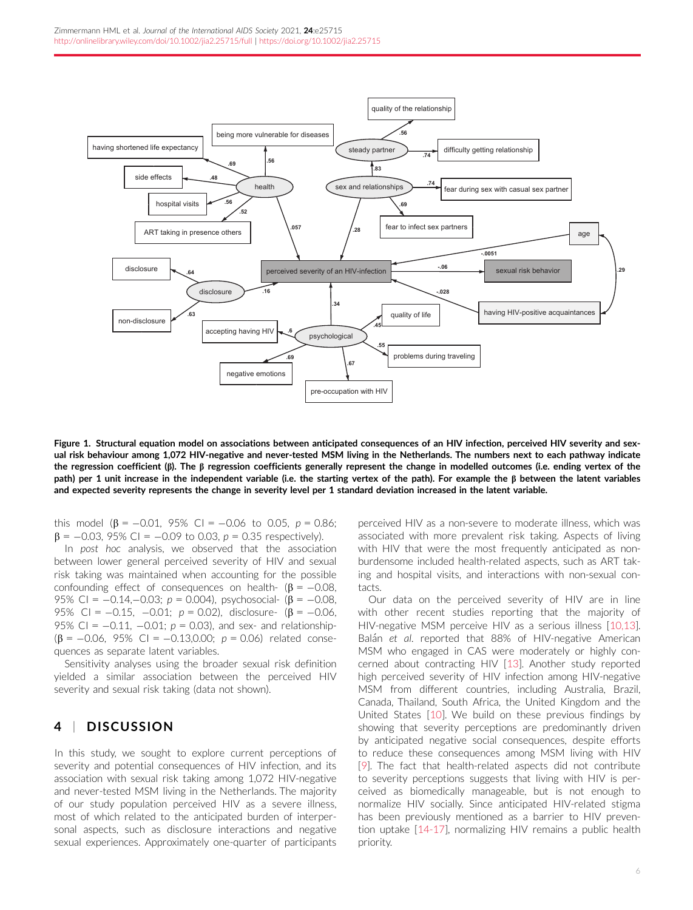<span id="page-6-0"></span>

Figure 1. Structural equation model on associations between anticipated consequences of an HIV infection, perceived HIV severity and sexual risk behaviour among 1,072 HIV-negative and never-tested MSM living in the Netherlands. The numbers next to each pathway indicate the regression coefficient ( $\beta$ ). The  $\beta$  regression coefficients generally represent the change in modelled outcomes (i.e. ending vertex of the path) per 1 unit increase in the independent variable (i.e. the starting vertex of the path). For example the  $\beta$  between the latent variables and expected severity represents the change in severity level per 1 standard deviation increased in the latent variable.

this model  $(\beta = -0.01, 95\% \text{ Cl} = -0.06 \text{ to } 0.05, p = 0.86;$  $\beta$  = -0.03, 95% CI = -0.09 to 0.03, p = 0.35 respectively).

In post hoc analysis, we observed that the association between lower general perceived severity of HIV and sexual risk taking was maintained when accounting for the possible confounding effect of consequences on health-  $(\beta = -0.08,$ 95% CI =  $-0.14,-0.03$ ;  $p = 0.004$ ), psychosocial- ( $\beta = -0.08$ , 95% CI =  $-0.15$ ,  $-0.01$ ;  $p = 0.02$ ), disclosure- ( $\beta = -0.06$ , 95% CI =  $-0.11$ ,  $-0.01$ ;  $p = 0.03$ ), and sex- and relationship- $(\beta = -0.06, 95\% \text{ Cl} = -0.13,0.00; p = 0.06)$  related consequences as separate latent variables.

Sensitivity analyses using the broader sexual risk definition yielded a similar association between the perceived HIV severity and sexual risk taking (data not shown).

### 4 | DISCUSSION

In this study, we sought to explore current perceptions of severity and potential consequences of HIV infection, and its association with sexual risk taking among 1,072 HIV-negative and never-tested MSM living in the Netherlands. The majority of our study population perceived HIV as a severe illness, most of which related to the anticipated burden of interpersonal aspects, such as disclosure interactions and negative sexual experiences. Approximately one-quarter of participants perceived HIV as a non-severe to moderate illness, which was associated with more prevalent risk taking. Aspects of living with HIV that were the most frequently anticipated as nonburdensome included health-related aspects, such as ART taking and hospital visits, and interactions with non-sexual contacts.

Our data on the perceived severity of HIV are in line with other recent studies reporting that the majority of HIV-negative MSM perceive HIV as a serious illness [[10,13](#page-8-0)]. Balán et al. reported that 88% of HIV-negative American MSM who engaged in CAS were moderately or highly concerned about contracting HIV [[13\]](#page-8-0). Another study reported high perceived severity of HIV infection among HIV-negative MSM from different countries, including Australia, Brazil, Canada, Thailand, South Africa, the United Kingdom and the United States [\[10\]](#page-8-0). We build on these previous findings by showing that severity perceptions are predominantly driven by anticipated negative social consequences, despite efforts to reduce these consequences among MSM living with HIV [\[9](#page-8-0)]. The fact that health-related aspects did not contribute to severity perceptions suggests that living with HIV is perceived as biomedically manageable, but is not enough to normalize HIV socially. Since anticipated HIV-related stigma has been previously mentioned as a barrier to HIV prevention uptake [[14-17](#page-8-0)], normalizing HIV remains a public health priority.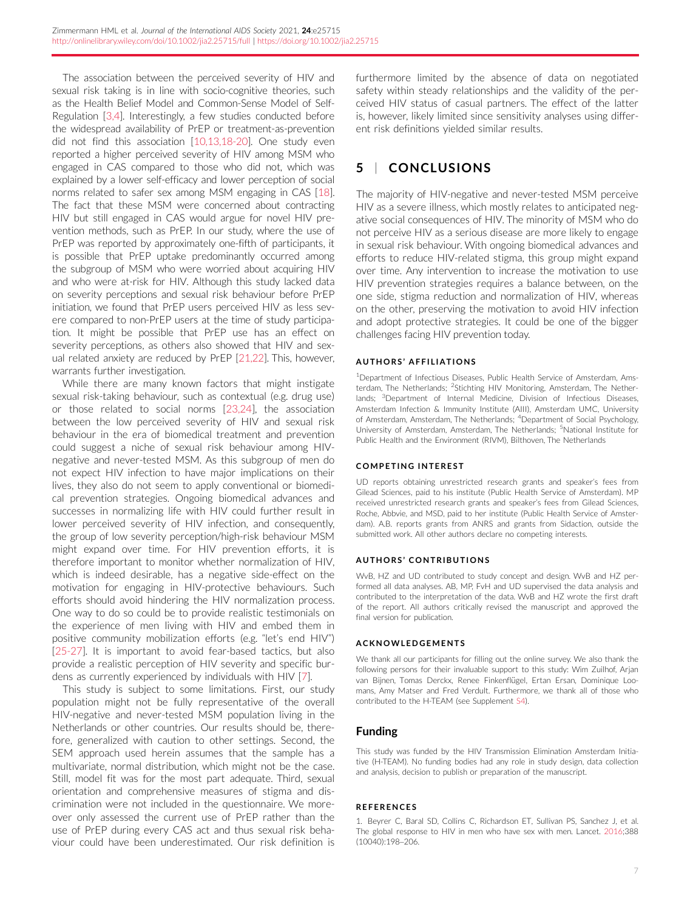<span id="page-7-0"></span>The association between the perceived severity of HIV and sexual risk taking is in line with socio-cognitive theories, such as the Health Belief Model and Common-Sense Model of Self-Regulation [\[3,4\]](#page-8-0). Interestingly, a few studies conducted before the widespread availability of PrEP or treatment-as-prevention did not find this association [[10,13,18-20\]](#page-8-0). One study even reported a higher perceived severity of HIV among MSM who engaged in CAS compared to those who did not, which was explained by a lower self-efficacy and lower perception of social norms related to safer sex among MSM engaging in CAS [\[18](#page-8-0)]. The fact that these MSM were concerned about contracting HIV but still engaged in CAS would argue for novel HIV prevention methods, such as PrEP. In our study, where the use of PrEP was reported by approximately one-fifth of participants, it is possible that PrEP uptake predominantly occurred among the subgroup of MSM who were worried about acquiring HIV and who were at-risk for HIV. Although this study lacked data on severity perceptions and sexual risk behaviour before PrEP initiation, we found that PrEP users perceived HIV as less severe compared to non-PrEP users at the time of study participation. It might be possible that PrEP use has an effect on severity perceptions, as others also showed that HIV and sexual related anxiety are reduced by PrEP [\[21,22\]](#page-8-0). This, however, warrants further investigation.

While there are many known factors that might instigate sexual risk-taking behaviour, such as contextual (e.g. drug use) or those related to social norms [\[23,24](#page-8-0)], the association between the low perceived severity of HIV and sexual risk behaviour in the era of biomedical treatment and prevention could suggest a niche of sexual risk behaviour among HIVnegative and never-tested MSM. As this subgroup of men do not expect HIV infection to have major implications on their lives, they also do not seem to apply conventional or biomedical prevention strategies. Ongoing biomedical advances and successes in normalizing life with HIV could further result in lower perceived severity of HIV infection, and consequently, the group of low severity perception/high-risk behaviour MSM might expand over time. For HIV prevention efforts, it is therefore important to monitor whether normalization of HIV, which is indeed desirable, has a negative side-effect on the motivation for engaging in HIV-protective behaviours. Such efforts should avoid hindering the HIV normalization process. One way to do so could be to provide realistic testimonials on the experience of men living with HIV and embed them in positive community mobilization efforts (e.g. "let's end HIV") [\[25-27\]](#page-8-0). It is important to avoid fear-based tactics, but also provide a realistic perception of HIV severity and specific burdens as currently experienced by individuals with HIV [[7](#page-8-0)].

This study is subject to some limitations. First, our study population might not be fully representative of the overall HIV-negative and never-tested MSM population living in the Netherlands or other countries. Our results should be, therefore, generalized with caution to other settings. Second, the SEM approach used herein assumes that the sample has a multivariate, normal distribution, which might not be the case. Still, model fit was for the most part adequate. Third, sexual orientation and comprehensive measures of stigma and discrimination were not included in the questionnaire. We moreover only assessed the current use of PrEP rather than the use of PrEP during every CAS act and thus sexual risk behaviour could have been underestimated. Our risk definition is

furthermore limited by the absence of data on negotiated safety within steady relationships and the validity of the perceived HIV status of casual partners. The effect of the latter is, however, likely limited since sensitivity analyses using different risk definitions yielded similar results.

## 5 | CONCLUSIONS

The majority of HIV-negative and never-tested MSM perceive HIV as a severe illness, which mostly relates to anticipated negative social consequences of HIV. The minority of MSM who do not perceive HIV as a serious disease are more likely to engage in sexual risk behaviour. With ongoing biomedical advances and efforts to reduce HIV-related stigma, this group might expand over time. Any intervention to increase the motivation to use HIV prevention strategies requires a balance between, on the one side, stigma reduction and normalization of HIV, whereas on the other, preserving the motivation to avoid HIV infection and adopt protective strategies. It could be one of the bigger challenges facing HIV prevention today.

#### AUTHORS ' AFFILIATIONS

<sup>1</sup>Department of Infectious Diseases, Public Health Service of Amsterdam, Amsterdam, The Netherlands; <sup>2</sup>Stichting HIV Monitoring, Amsterdam, The Netherlands; <sup>3</sup>Department of Internal Medicine, Division of Infectious Diseases, Amsterdam Infection & Immunity Institute (AIII), Amsterdam UMC, University of Amsterdam, Amsterdam, The Netherlands; <sup>4</sup>Department of Social Psychology, University of Amsterdam, Amsterdam, The Netherlands; <sup>5</sup>National Institute for Public Health and the Environment (RIVM), Bilthoven, The Netherlands

#### COMPETING INTEREST

UD reports obtaining unrestricted research grants and speaker's fees from Gilead Sciences, paid to his institute (Public Health Service of Amsterdam). MP received unrestricted research grants and speaker's fees from Gilead Sciences, Roche, Abbvie, and MSD, paid to her institute (Public Health Service of Amsterdam). A.B. reports grants from ANRS and grants from Sidaction, outside the submitted work. All other authors declare no competing interests.

#### AUTHORS ' CONTRIBUTIONS

WvB, HZ and UD contributed to study concept and design. WvB and HZ performed all data analyses. AB, MP, FvH and UD supervised the data analysis and contributed to the interpretation of the data. WvB and HZ wrote the first draft of the report. All authors critically revised the manuscript and approved the final version for publication.

#### ACKNOWLEDGEMENTS

We thank all our participants for filling out the online survey. We also thank the following persons for their invaluable support to this study: Wim Zuilhof, Arjan van Bijnen, Tomas Derckx, Renee Finkenflügel, Ertan Ersan, Dominique Loomans, Amy Matser and Fred Verdult. Furthermore, we thank all of those who contributed to the H-TEAM (see Supplement S4).

### Funding

This study was funded by the HIV Transmission Elimination Amsterdam Initiative (H-TEAM). No funding bodies had any role in study design, data collection and analysis, decision to publish or preparation of the manuscript.

#### **REFERENCES**

1. Beyrer C, Baral SD, Collins C, Richardson ET, Sullivan PS, Sanchez J, et al. The global response to HIV in men who have sex with men. Lancet. 2016;388 (10040):198–206.